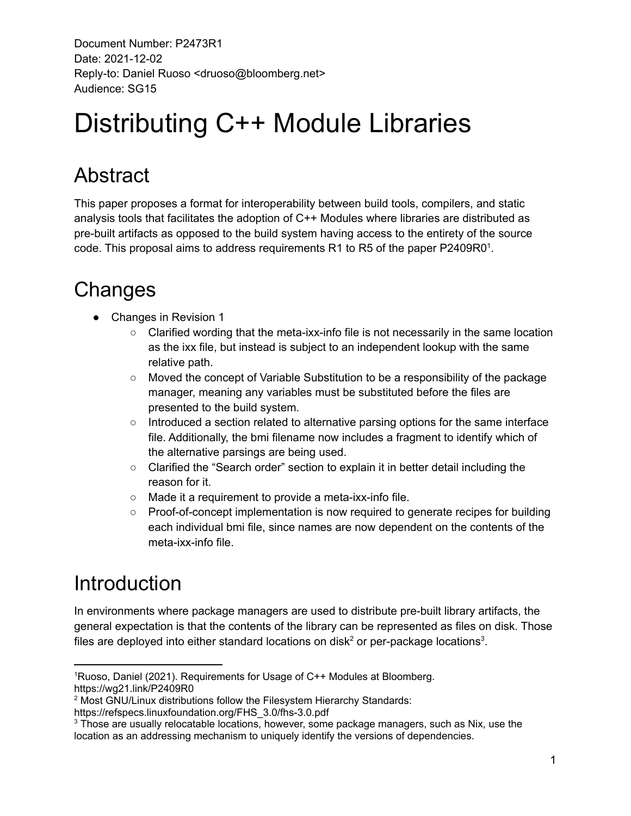# Distributing C++ Module Libraries

### Abstract

This paper proposes a format for interoperability between build tools, compilers, and static analysis tools that facilitates the adoption of C++ Modules where libraries are distributed as pre-built artifacts as opposed to the build system having access to the entirety of the source code. This proposal aims to address requirements R1 to R5 of the paper P2409R0<sup>1</sup>.

### **Changes**

- Changes in Revision 1
	- $\circ$  Clarified wording that the meta-ixx-info file is not necessarily in the same location as the ixx file, but instead is subject to an independent lookup with the same relative path.
	- Moved the concept of Variable Substitution to be a responsibility of the package manager, meaning any variables must be substituted before the files are presented to the build system.
	- Introduced a section related to alternative parsing options for the same interface file. Additionally, the bmi filename now includes a fragment to identify which of the alternative parsings are being used.
	- Clarified the "Search order" section to explain it in better detail including the reason for it.
	- Made it a requirement to provide a meta-ixx-info file.
	- Proof-of-concept implementation is now required to generate recipes for building each individual bmi file, since names are now dependent on the contents of the meta-ixx-info file.

## Introduction

In environments where package managers are used to distribute pre-built library artifacts, the general expectation is that the contents of the library can be represented as files on disk. Those files are deployed into either standard locations on disk<sup>2</sup> or per-package locations<sup>3</sup>.

<sup>1</sup>Ruoso, Daniel (2021). Requirements for Usage of C++ Modules at Bloomberg. https://wg21.link/P2409R0

<sup>&</sup>lt;sup>2</sup> Most GNU/Linux distributions follow the Filesystem Hierarchy Standards:

https://refspecs.linuxfoundation.org/FHS\_3.0/fhs-3.0.pdf

<sup>&</sup>lt;sup>3</sup> Those are usually relocatable locations, however, some package managers, such as Nix, use the location as an addressing mechanism to uniquely identify the versions of dependencies.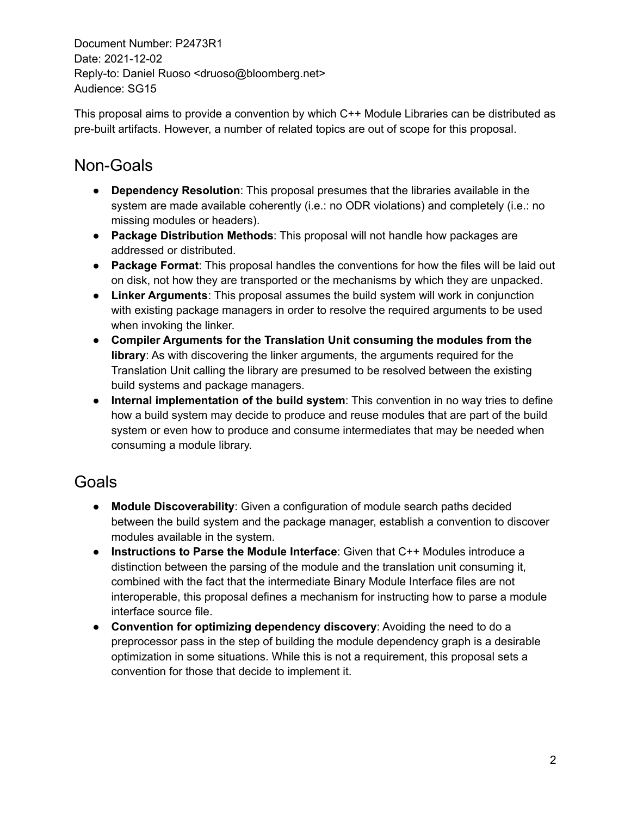This proposal aims to provide a convention by which C++ Module Libraries can be distributed as pre-built artifacts. However, a number of related topics are out of scope for this proposal.

#### Non-Goals

- **Dependency Resolution**: This proposal presumes that the libraries available in the system are made available coherently (i.e.: no ODR violations) and completely (i.e.: no missing modules or headers).
- **Package Distribution Methods**: This proposal will not handle how packages are addressed or distributed.
- **Package Format**: This proposal handles the conventions for how the files will be laid out on disk, not how they are transported or the mechanisms by which they are unpacked.
- **● Linker Arguments**: This proposal assumes the build system will work in conjunction with existing package managers in order to resolve the required arguments to be used when invoking the linker.
- **● Compiler Arguments for the Translation Unit consuming the modules from the library**: As with discovering the linker arguments, the arguments required for the Translation Unit calling the library are presumed to be resolved between the existing build systems and package managers.
- **Internal implementation of the build system**: This convention in no way tries to define how a build system may decide to produce and reuse modules that are part of the build system or even how to produce and consume intermediates that may be needed when consuming a module library.

### Goals

- **● Module Discoverability**: Given a configuration of module search paths decided between the build system and the package manager, establish a convention to discover modules available in the system.
- **Instructions to Parse the Module Interface**: Given that C++ Modules introduce a distinction between the parsing of the module and the translation unit consuming it, combined with the fact that the intermediate Binary Module Interface files are not interoperable, this proposal defines a mechanism for instructing how to parse a module interface source file.
- **● Convention for optimizing dependency discovery**: Avoiding the need to do a preprocessor pass in the step of building the module dependency graph is a desirable optimization in some situations. While this is not a requirement, this proposal sets a convention for those that decide to implement it.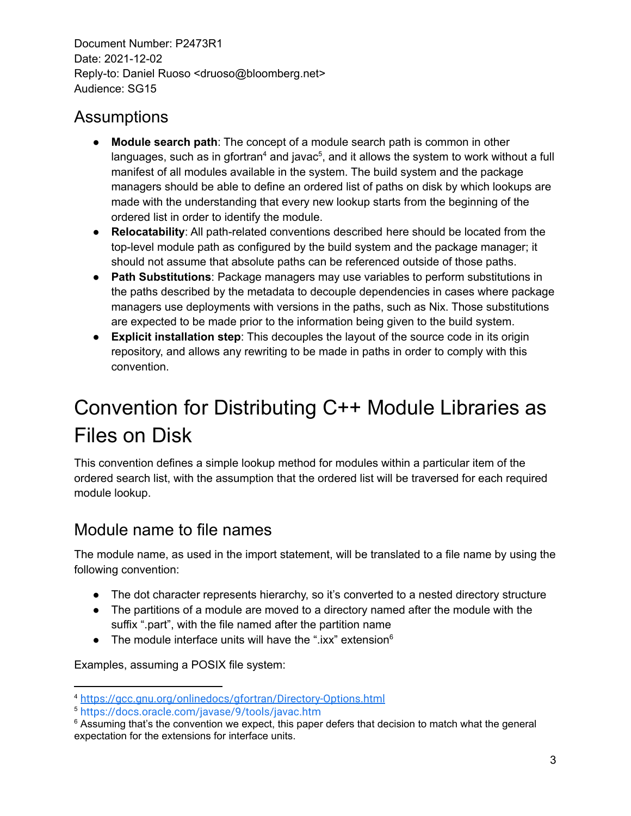#### **Assumptions**

- **Module search path**: The concept of a module search path is common in other languages, such as in gfortran<sup>4</sup> and javac<sup>5</sup>, and it allows the system to work without a full manifest of all modules available in the system. The build system and the package managers should be able to define an ordered list of paths on disk by which lookups are made with the understanding that every new lookup starts from the beginning of the ordered list in order to identify the module.
- **Relocatability**: All path-related conventions described here should be located from the top-level module path as configured by the build system and the package manager; it should not assume that absolute paths can be referenced outside of those paths.
- **Path Substitutions**: Package managers may use variables to perform substitutions in the paths described by the metadata to decouple dependencies in cases where package managers use deployments with versions in the paths, such as Nix. Those substitutions are expected to be made prior to the information being given to the build system.
- **Explicit installation step**: This decouples the layout of the source code in its origin repository, and allows any rewriting to be made in paths in order to comply with this convention.

### Convention for Distributing C++ Module Libraries as Files on Disk

This convention defines a simple lookup method for modules within a particular item of the ordered search list, with the assumption that the ordered list will be traversed for each required module lookup.

#### Module name to file names

The module name, as used in the import statement, will be translated to a file name by using the following convention:

- The dot character represents hierarchy, so it's converted to a nested directory structure
- The partitions of a module are moved to a directory named after the module with the suffix ".part", with the file named after the partition name
- $\bullet$  The module interface units will have the ".ixx" extension $^6$

Examples, assuming a POSIX file system:

<sup>4</sup> <https://gcc.gnu.org/onlinedocs/gfortran/Directory-Options.html>

<sup>5</sup> <https://docs.oracle.com/javase/9/tools/javac.htm>

 $6$  Assuming that's the convention we expect, this paper defers that decision to match what the general expectation for the extensions for interface units.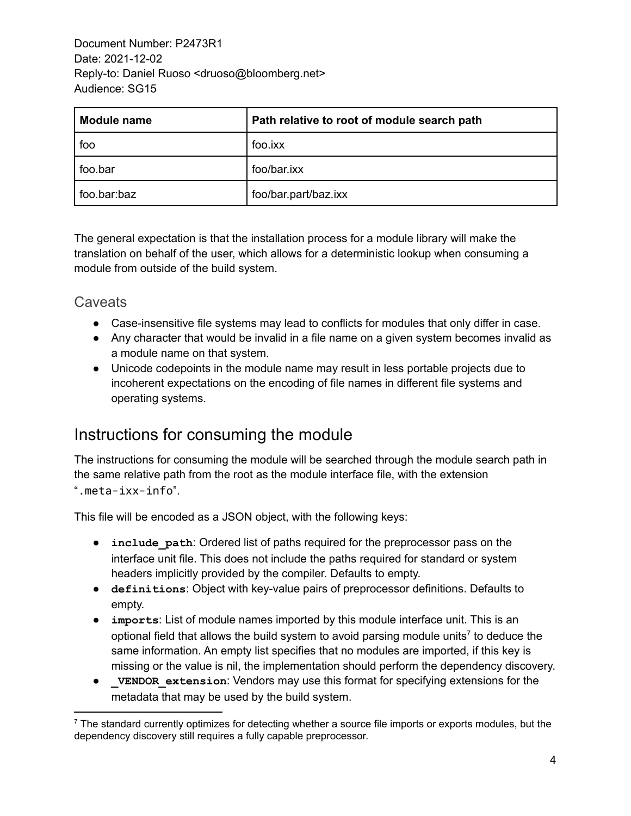| <b>Module name</b> | Path relative to root of module search path |
|--------------------|---------------------------------------------|
| foo                | foo.ixx                                     |
| foo.bar            | foo/bar.ixx                                 |
| foo.bar:baz        | foo/bar.part/baz.ixx                        |

The general expectation is that the installation process for a module library will make the translation on behalf of the user, which allows for a deterministic lookup when consuming a module from outside of the build system.

#### **Caveats**

- Case-insensitive file systems may lead to conflicts for modules that only differ in case.
- Any character that would be invalid in a file name on a given system becomes invalid as a module name on that system.
- Unicode codepoints in the module name may result in less portable projects due to incoherent expectations on the encoding of file names in different file systems and operating systems.

#### Instructions for consuming the module

The instructions for consuming the module will be searched through the module search path in the same relative path from the root as the module interface file, with the extension ".meta-ixx-info".

This file will be encoded as a JSON object, with the following keys:

- **•** include path: Ordered list of paths required for the preprocessor pass on the interface unit file. This does not include the paths required for standard or system headers implicitly provided by the compiler. Defaults to empty.
- **definitions**: Object with key-value pairs of preprocessor definitions. Defaults to empty.
- **imports**: List of module names imported by this module interface unit. This is an optional field that allows the build system to avoid parsing module units<sup>7</sup> to deduce the same information. An empty list specifies that no modules are imported, if this key is missing or the value is nil, the implementation should perform the dependency discovery.
- **VENDOR** extension: Vendors may use this format for specifying extensions for the metadata that may be used by the build system.

 $<sup>7</sup>$  The standard currently optimizes for detecting whether a source file imports or exports modules, but the</sup> dependency discovery still requires a fully capable preprocessor.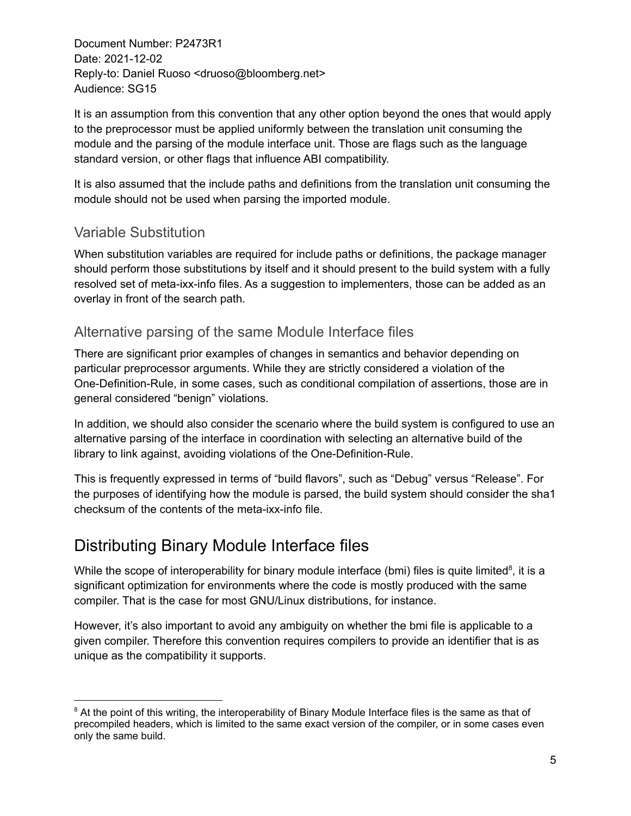It is an assumption from this convention that any other option beyond the ones that would apply to the preprocessor must be applied uniformly between the translation unit consuming the module and the parsing of the module interface unit. Those are flags such as the language standard version, or other flags that influence ABI compatibility.

It is also assumed that the include paths and definitions from the translation unit consuming the module should not be used when parsing the imported module.

#### Variable Substitution

When substitution variables are required for include paths or definitions, the package manager should perform those substitutions by itself and it should present to the build system with a fully resolved set of meta-ixx-info files. As a suggestion to implementers, those can be added as an overlay in front of the search path.

#### Alternative parsing of the same Module Interface files

There are significant prior examples of changes in semantics and behavior depending on particular preprocessor arguments. While they are strictly considered a violation of the One-Definition-Rule, in some cases, such as conditional compilation of assertions, those are in general considered "benign" violations.

In addition, we should also consider the scenario where the build system is configured to use an alternative parsing of the interface in coordination with selecting an alternative build of the library to link against, avoiding violations of the One-Definition-Rule.

This is frequently expressed in terms of "build flavors", such as "Debug" versus "Release". For the purposes of identifying how the module is parsed, the build system should consider the sha1 checksum of the contents of the meta-ixx-info file.

#### Distributing Binary Module Interface files

While the scope of interoperability for binary module interface (bmi) files is quite limited<sup>8</sup>, it is a significant optimization for environments where the code is mostly produced with the same compiler. That is the case for most GNU/Linux distributions, for instance.

However, it's also important to avoid any ambiguity on whether the bmi file is applicable to a given compiler. Therefore this convention requires compilers to provide an identifier that is as unique as the compatibility it supports.

<sup>&</sup>lt;sup>8</sup> At the point of this writing, the interoperability of Binary Module Interface files is the same as that of precompiled headers, which is limited to the same exact version of the compiler, or in some cases even only the same build.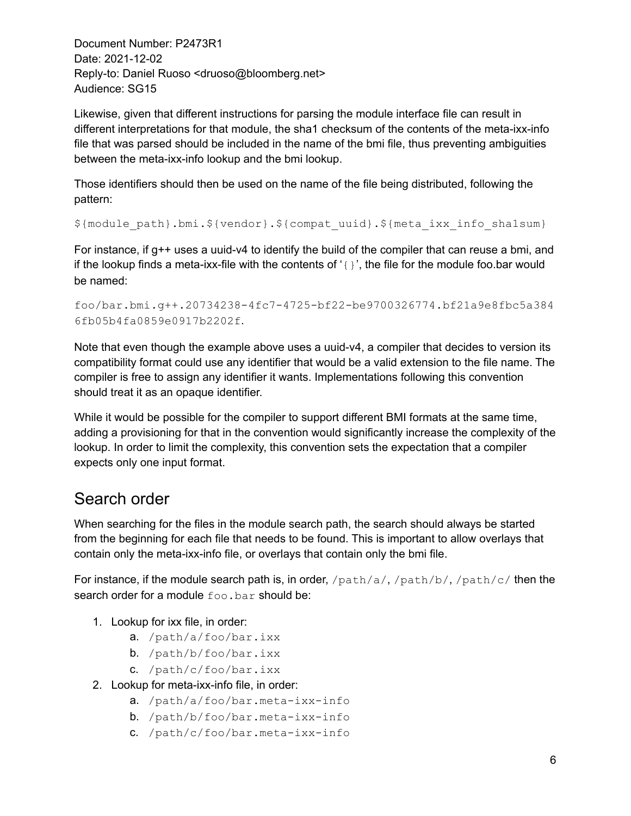Likewise, given that different instructions for parsing the module interface file can result in different interpretations for that module, the sha1 checksum of the contents of the meta-ixx-info file that was parsed should be included in the name of the bmi file, thus preventing ambiguities between the meta-ixx-info lookup and the bmi lookup.

Those identifiers should then be used on the name of the file being distributed, following the pattern:

```
${module_path}.bmi.${vendor}.${compat_uuid}.${meta_ixx_info_sha1sum}
```
For instance, if g++ uses a uuid-v4 to identify the build of the compiler that can reuse a bmi, and if the lookup finds a meta-ixx-file with the contents of  $\{ \}$ , the file for the module foo.bar would be named:

```
foo/bar.bmi.g++.20734238-4fc7-4725-bf22-be9700326774.bf21a9e8fbc5a384
6fb05b4fa0859e0917b2202f.
```
Note that even though the example above uses a uuid-v4, a compiler that decides to version its compatibility format could use any identifier that would be a valid extension to the file name. The compiler is free to assign any identifier it wants. Implementations following this convention should treat it as an opaque identifier.

While it would be possible for the compiler to support different BMI formats at the same time, adding a provisioning for that in the convention would significantly increase the complexity of the lookup. In order to limit the complexity, this convention sets the expectation that a compiler expects only one input format.

#### Search order

When searching for the files in the module search path, the search should always be started from the beginning for each file that needs to be found. This is important to allow overlays that contain only the meta-ixx-info file, or overlays that contain only the bmi file.

For instance, if the module search path is, in order, /path/a/, /path/b/, /path/c/ then the search order for a module foo.bar should be:

- 1. Lookup for ixx file, in order:
	- a. /path/a/foo/bar.ixx
	- b. /path/b/foo/bar.ixx
	- c. /path/c/foo/bar.ixx
- 2. Lookup for meta-ixx-info file, in order:
	- a. /path/a/foo/bar.meta-ixx-info
	- b. /path/b/foo/bar.meta-ixx-info
	- c. /path/c/foo/bar.meta-ixx-info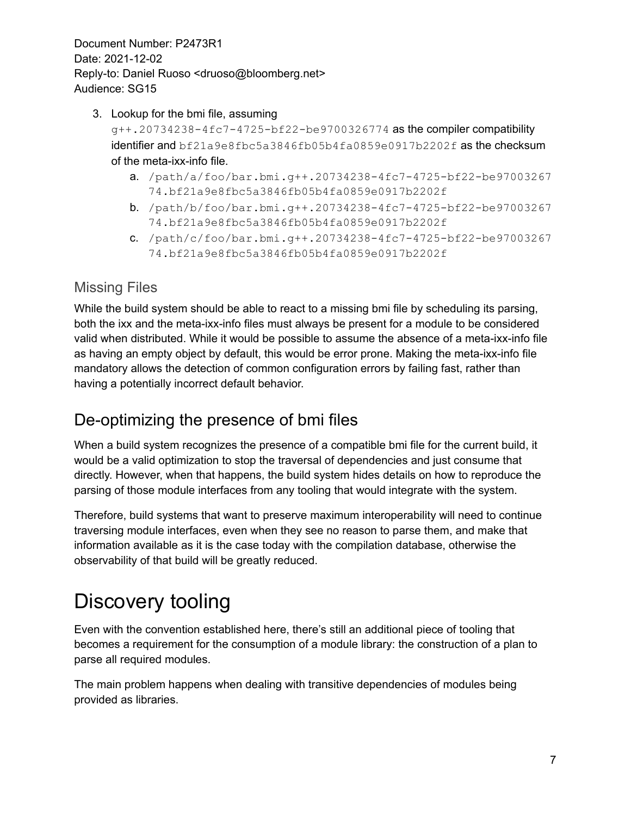- 3. Lookup for the bmi file, assuming g++.20734238-4fc7-4725-bf22-be9700326774 as the compiler compatibility identifier and bf21a9e8fbc5a3846fb05b4fa0859e0917b2202f as the checksum of the meta-ixx-info file.
	- a. /path/a/foo/bar.bmi.g++.20734238-4fc7-4725-bf22-be97003267 74.bf21a9e8fbc5a3846fb05b4fa0859e0917b2202f
	- b. /path/b/foo/bar.bmi.g++.20734238-4fc7-4725-bf22-be97003267 74.bf21a9e8fbc5a3846fb05b4fa0859e0917b2202f
	- c. /path/c/foo/bar.bmi.g++.20734238-4fc7-4725-bf22-be97003267 74.bf21a9e8fbc5a3846fb05b4fa0859e0917b2202f

#### Missing Files

While the build system should be able to react to a missing bmi file by scheduling its parsing, both the ixx and the meta-ixx-info files must always be present for a module to be considered valid when distributed. While it would be possible to assume the absence of a meta-ixx-info file as having an empty object by default, this would be error prone. Making the meta-ixx-info file mandatory allows the detection of common configuration errors by failing fast, rather than having a potentially incorrect default behavior.

### De-optimizing the presence of bmi files

When a build system recognizes the presence of a compatible bmi file for the current build, it would be a valid optimization to stop the traversal of dependencies and just consume that directly. However, when that happens, the build system hides details on how to reproduce the parsing of those module interfaces from any tooling that would integrate with the system.

Therefore, build systems that want to preserve maximum interoperability will need to continue traversing module interfaces, even when they see no reason to parse them, and make that information available as it is the case today with the compilation database, otherwise the observability of that build will be greatly reduced.

## Discovery tooling

Even with the convention established here, there's still an additional piece of tooling that becomes a requirement for the consumption of a module library: the construction of a plan to parse all required modules.

The main problem happens when dealing with transitive dependencies of modules being provided as libraries.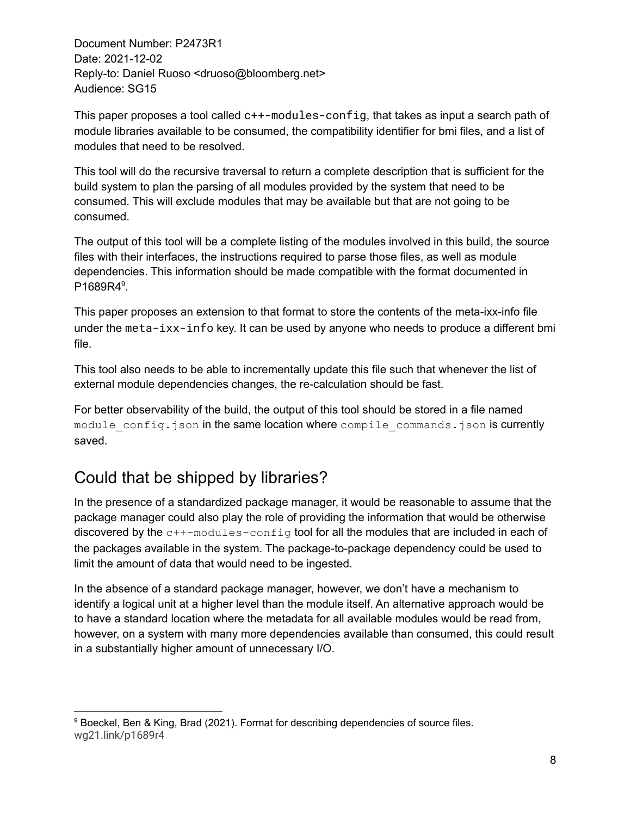This paper proposes a tool called c++-modules-config, that takes as input a search path of module libraries available to be consumed, the compatibility identifier for bmi files, and a list of modules that need to be resolved.

This tool will do the recursive traversal to return a complete description that is sufficient for the build system to plan the parsing of all modules provided by the system that need to be consumed. This will exclude modules that may be available but that are not going to be consumed.

The output of this tool will be a complete listing of the modules involved in this build, the source files with their interfaces, the instructions required to parse those files, as well as module dependencies. This information should be made compatible with the format documented in P1689R4<sup>9</sup>.

This paper proposes an extension to that format to store the contents of the meta-ixx-info file under the meta-ixx-info key. It can be used by anyone who needs to produce a different bmi file.

This tool also needs to be able to incrementally update this file such that whenever the list of external module dependencies changes, the re-calculation should be fast.

For better observability of the build, the output of this tool should be stored in a file named module config.json in the same location where compile commands.json is currently saved.

#### Could that be shipped by libraries?

In the presence of a standardized package manager, it would be reasonable to assume that the package manager could also play the role of providing the information that would be otherwise discovered by the c++-modules-config tool for all the modules that are included in each of the packages available in the system. The package-to-package dependency could be used to limit the amount of data that would need to be ingested.

In the absence of a standard package manager, however, we don't have a mechanism to identify a logical unit at a higher level than the module itself. An alternative approach would be to have a standard location where the metadata for all available modules would be read from, however, on a system with many more dependencies available than consumed, this could result in a substantially higher amount of unnecessary I/O.

<sup>&</sup>lt;sup>9</sup> Boeckel, Ben & King, Brad (2021). Format for describing dependencies of source files. wg21.link/p1689r4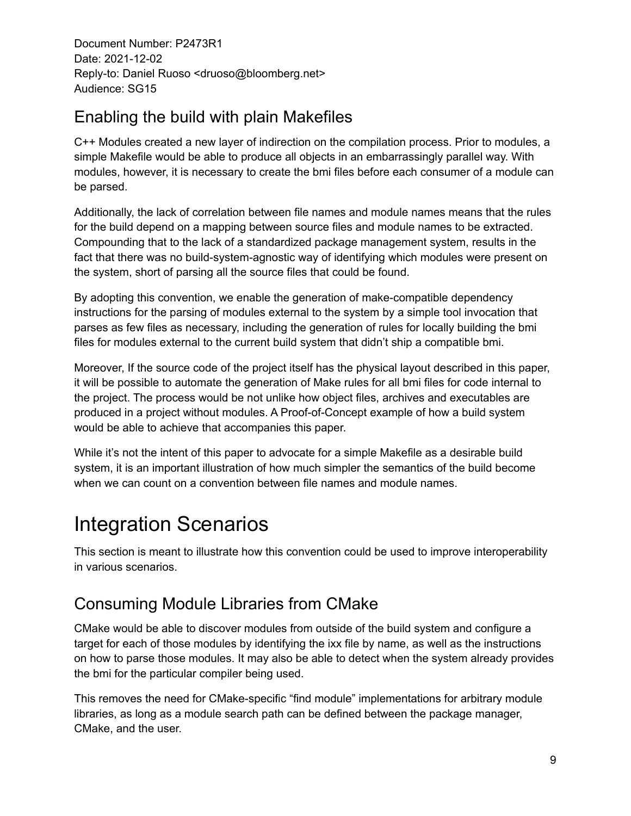#### Enabling the build with plain Makefiles

C++ Modules created a new layer of indirection on the compilation process. Prior to modules, a simple Makefile would be able to produce all objects in an embarrassingly parallel way. With modules, however, it is necessary to create the bmi files before each consumer of a module can be parsed.

Additionally, the lack of correlation between file names and module names means that the rules for the build depend on a mapping between source files and module names to be extracted. Compounding that to the lack of a standardized package management system, results in the fact that there was no build-system-agnostic way of identifying which modules were present on the system, short of parsing all the source files that could be found.

By adopting this convention, we enable the generation of make-compatible dependency instructions for the parsing of modules external to the system by a simple tool invocation that parses as few files as necessary, including the generation of rules for locally building the bmi files for modules external to the current build system that didn't ship a compatible bmi.

Moreover, If the source code of the project itself has the physical layout described in this paper, it will be possible to automate the generation of Make rules for all bmi files for code internal to the project. The process would be not unlike how object files, archives and executables are produced in a project without modules. A Proof-of-Concept example of how a build system would be able to achieve that accompanies this paper.

While it's not the intent of this paper to advocate for a simple Makefile as a desirable build system, it is an important illustration of how much simpler the semantics of the build become when we can count on a convention between file names and module names.

### Integration Scenarios

This section is meant to illustrate how this convention could be used to improve interoperability in various scenarios.

#### Consuming Module Libraries from CMake

CMake would be able to discover modules from outside of the build system and configure a target for each of those modules by identifying the ixx file by name, as well as the instructions on how to parse those modules. It may also be able to detect when the system already provides the bmi for the particular compiler being used.

This removes the need for CMake-specific "find module" implementations for arbitrary module libraries, as long as a module search path can be defined between the package manager, CMake, and the user.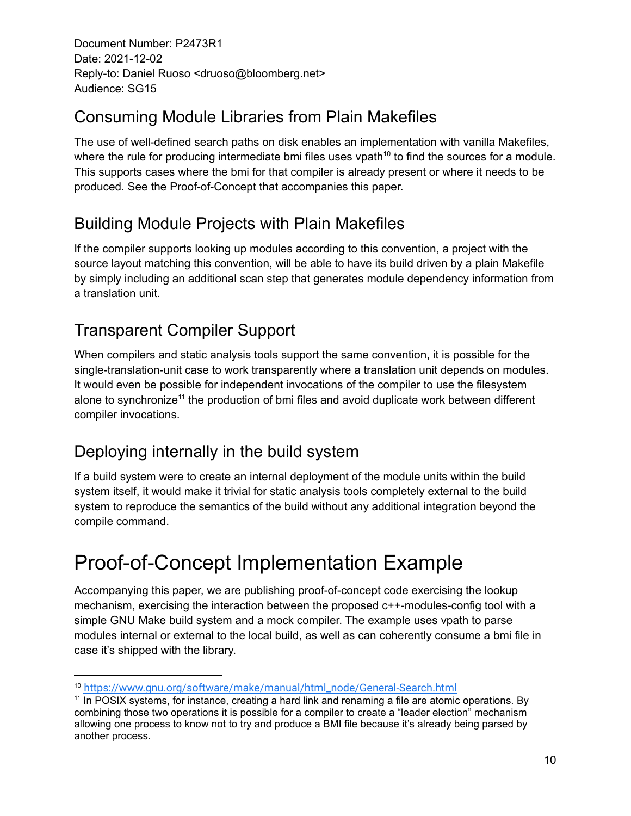#### Consuming Module Libraries from Plain Makefiles

The use of well-defined search paths on disk enables an implementation with vanilla Makefiles, where the rule for producing intermediate bmi files uses vpath<sup>10</sup> to find the sources for a module. This supports cases where the bmi for that compiler is already present or where it needs to be produced. See the Proof-of-Concept that accompanies this paper.

#### Building Module Projects with Plain Makefiles

If the compiler supports looking up modules according to this convention, a project with the source layout matching this convention, will be able to have its build driven by a plain Makefile by simply including an additional scan step that generates module dependency information from a translation unit.

### Transparent Compiler Support

When compilers and static analysis tools support the same convention, it is possible for the single-translation-unit case to work transparently where a translation unit depends on modules. It would even be possible for independent invocations of the compiler to use the filesystem alone to synchronize<sup>11</sup> the production of bmi files and avoid duplicate work between different compiler invocations.

### Deploying internally in the build system

If a build system were to create an internal deployment of the module units within the build system itself, it would make it trivial for static analysis tools completely external to the build system to reproduce the semantics of the build without any additional integration beyond the compile command.

## Proof-of-Concept Implementation Example

Accompanying this paper, we are publishing proof-of-concept code exercising the lookup mechanism, exercising the interaction between the proposed  $c++$ -modules-config tool with a simple GNU Make build system and a mock compiler. The example uses vpath to parse modules internal or external to the local build, as well as can coherently consume a bmi file in case it's shipped with the library.

<sup>10</sup> [https://www.gnu.org/software/make/manual/html\\_node/General-Search.html](https://www.gnu.org/software/make/manual/html_node/General-Search.html)

<sup>&</sup>lt;sup>11</sup> In POSIX systems, for instance, creating a hard link and renaming a file are atomic operations. By combining those two operations it is possible for a compiler to create a "leader election" mechanism allowing one process to know not to try and produce a BMI file because it's already being parsed by another process.